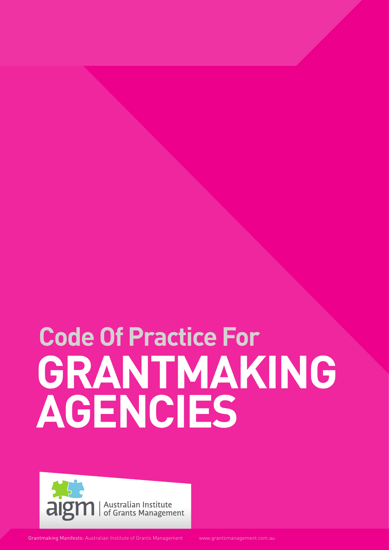## **GRANTMAKING** AGENCIES **Code Of Practice For**



Grantmaking Manifesto: Australian Institute of Grants Management